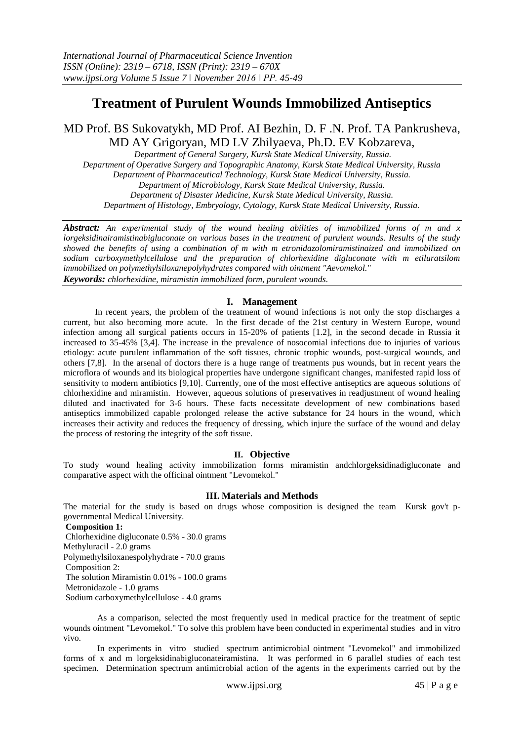# **Treatment of Purulent Wounds Immobilized Antiseptics**

## MD Prof. BS Sukovatykh, MD Prof. AI Bezhin, D. F .N. Prof. TA Pankrusheva, MD AY Grigoryan, MD LV Zhilyaeva, Ph.D. EV Kobzareva,

*Department of General Surgery, Kursk State Medical University, Russia. Department of Operative Surgery and Topographic Anatomy, Kursk State Medical University, Russia Department of Pharmaceutical Technology, Kursk State Medical University, Russia. Department of Microbiology, Kursk State Medical University, Russia. Department of Disaster Medicine, Kursk State Medical University, Russia. Department of Histology, Embryology, Cytology, Kursk State Medical University, Russia.*

*Abstract: An experimental study of the wound healing abilities of immobilized forms of m and x lorgeksidinairamistinabigluconate on various bases in the treatment of purulent wounds. Results of the study showed the benefits of using a combination of m with m etronidazolomiramistinaized and immobilized on sodium carboxymethylcellulose and the preparation of chlorhexidine digluconate with m etiluratsilom immobilized on polymethylsiloxanepolyhydrates compared with ointment "Aevomekol." Keywords: chlorhexidine, miramistin immobilized form, purulent wounds.*

## **I. Management**

In recent years, the problem of the treatment of wound infections is not only the stop discharges a current, but also becoming more acute. In the first decade of the 21st century in Western Europe, wound infection among all surgical patients occurs in 15-20% of patients [1.2], in the second decade in Russia it increased to 35-45% [3,4]. The increase in the prevalence of nosocomial infections due to injuries of various etiology: acute purulent inflammation of the soft tissues, chronic trophic wounds, post-surgical wounds, and others [7,8]. In the arsenal of doctors there is a huge range of treatments pus wounds, but in recent years the microflora of wounds and its biological properties have undergone significant changes, manifested rapid loss of sensitivity to modern antibiotics [9,10]. Currently, one of the most effective antiseptics are aqueous solutions of chlorhexidine and miramistin. However, aqueous solutions of preservatives in readjustment of wound healing diluted and inactivated for 3-6 hours. These facts necessitate development of new combinations based antiseptics immobilized capable prolonged release the active substance for 24 hours in the wound, which increases their activity and reduces the frequency of dressing, which injure the surface of the wound and delay the process of restoring the integrity of the soft tissue.

## **II. Objective**

To study wound healing activity immobilization forms miramistin andchlorgeksidinadigluconate and comparative aspect with the officinal ointment "Levomekol."

## **III. Materials and Methods**

The material for the study is based on drugs whose composition is designed the team Kursk gov't pgovernmental Medical University.

#### **Composition 1:**

Chlorhexidine digluconate 0.5% - 30.0 grams Methyluracil - 2.0 grams Polymethylsiloxanespolyhydrate - 70.0 grams Composition 2: The solution Miramistin 0.01% - 100.0 grams Metronidazole - 1.0 grams Sodium carboxymethylcellulose - 4.0 grams

As a comparison, selected the most frequently used in medical practice for the treatment of septic wounds ointment "Levomekol." To solve this problem have been conducted in experimental studies and in vitro vivo.

In experiments in vitro studied spectrum antimicrobial ointment "Levomekol" and immobilized forms of x and m lorgeksidinabigluconateiramistina. It was performed in 6 parallel studies of each test specimen. Determination spectrum antimicrobial action of the agents in the experiments carried out by the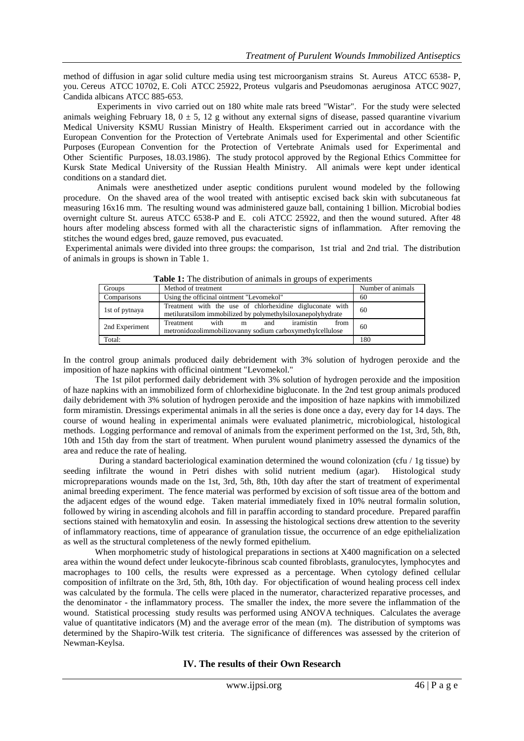method of diffusion in agar solid culture media using test microorganism strains St. Aureus ATCC 6538- P, you. Cereus ATCC 10702, E. Coli ATCC 25922, Proteus vulgaris and Pseudomonas aeruginosa ATCC 9027, Candida albicans ATCC 885-653.

Experiments in vivo carried out on 180 white male rats breed "Wistar". For the study were selected animals weighing February 18,  $0 \pm 5$ , 12 g without any external signs of disease, passed quarantine vivarium Medical University KSMU Russian Ministry of Health. Eksperiment carried out in accordance with the European Convention for the Protection of Vertebrate Animals used for Experimental and other Scientific Purposes (European Convention for the Protection of Vertebrate Animals used for Experimental and Other Scientific Purposes, 18.03.1986). The study protocol approved by the Regional Ethics Committee for Kursk State Medical University of the Russian Health Ministry. All animals were kept under identical conditions on a standard diet.

Animals were anesthetized under aseptic conditions purulent wound modeled by the following procedure. On the shaved area of the wool treated with antiseptic excised back skin with subcutaneous fat measuring 16x16 mm. The resulting wound was administered gauze ball, containing 1 billion. Microbial bodies overnight culture St. aureus ATCC 6538-P and E. coli ATCC 25922, and then the wound sutured. After 48 hours after modeling abscess formed with all the characteristic signs of inflammation. After removing the stitches the wound edges bred, gauze removed, pus evacuated.

Experimental animals were divided into three groups: the comparison, 1st trial and 2nd trial. The distribution of animals in groups is shown in Table 1.

| <b>Table 1.</b> The distribution of annihals in groups of experiments |                                                                                                                         |                   |  |  |  |
|-----------------------------------------------------------------------|-------------------------------------------------------------------------------------------------------------------------|-------------------|--|--|--|
| Groups                                                                | Method of treatment                                                                                                     | Number of animals |  |  |  |
| Comparisons                                                           | Using the officinal ointment "Levomekol"                                                                                | 60                |  |  |  |
| 1st of pytnaya                                                        | Treatment with the use of chlorhexidine digluconate with<br>metiluratsilom immobilized by polymethylsiloxanepolyhydrate | 60                |  |  |  |
| 2nd Experiment                                                        | with m<br>iramistin<br><b>Treatment</b><br>from<br>and<br>metronidozolimmobilizovanny sodium carboxymethylcellulose     | 60                |  |  |  |
| Total:                                                                |                                                                                                                         | 180               |  |  |  |

**Table 1:** The distribution of animals in groups of experiments

In the control group animals produced daily debridement with 3% solution of hydrogen peroxide and the imposition of haze napkins with officinal ointment "Levomekol."

The 1st pilot performed daily debridement with 3% solution of hydrogen peroxide and the imposition of haze napkins with an immobilized form of chlorhexidine bigluconate. In the 2nd test group animals produced daily debridement with 3% solution of hydrogen peroxide and the imposition of haze napkins with immobilized form miramistin. Dressings experimental animals in all the series is done once a day, every day for 14 days. The course of wound healing in experimental animals were evaluated planimetric, microbiological, histological methods. Logging performance and removal of animals from the experiment performed on the 1st, 3rd, 5th, 8th, 10th and 15th day from the start of treatment. When purulent wound planimetry assessed the dynamics of the area and reduce the rate of healing.

During a standard bacteriological examination determined the wound colonization (cfu / 1g tissue) by seeding infiltrate the wound in Petri dishes with solid nutrient medium (agar). Histological study micropreparations wounds made on the 1st, 3rd, 5th, 8th, 10th day after the start of treatment of experimental animal breeding experiment. The fence material was performed by excision of soft tissue area of the bottom and the adjacent edges of the wound edge. Taken material immediately fixed in 10% neutral formalin solution, followed by wiring in ascending alcohols and fill in paraffin according to standard procedure. Prepared paraffin sections stained with hematoxylin and eosin. In assessing the histological sections drew attention to the severity of inflammatory reactions, time of appearance of granulation tissue, the occurrence of an edge epithelialization as well as the structural completeness of the newly formed epithelium.

When morphometric study of histological preparations in sections at X400 magnification on a selected area within the wound defect under leukocyte-fibrinous scab counted fibroblasts, granulocytes, lymphocytes and macrophages to 100 cells, the results were expressed as a percentage. When cytology defined cellular composition of infiltrate on the 3rd, 5th, 8th, 10th day. For objectification of wound healing process cell index was calculated by the formula. The cells were placed in the numerator, characterized reparative processes, and the denominator - the inflammatory process. The smaller the index, the more severe the inflammation of the wound. Statistical processing study results was performed using ANOVA techniques. Calculates the average value of quantitative indicators (M) and the average error of the mean (m). The distribution of symptoms was determined by the Shapiro-Wilk test criteria. The significance of differences was assessed by the criterion of Newman-Keylsa.

**IV. The results of their Own Research**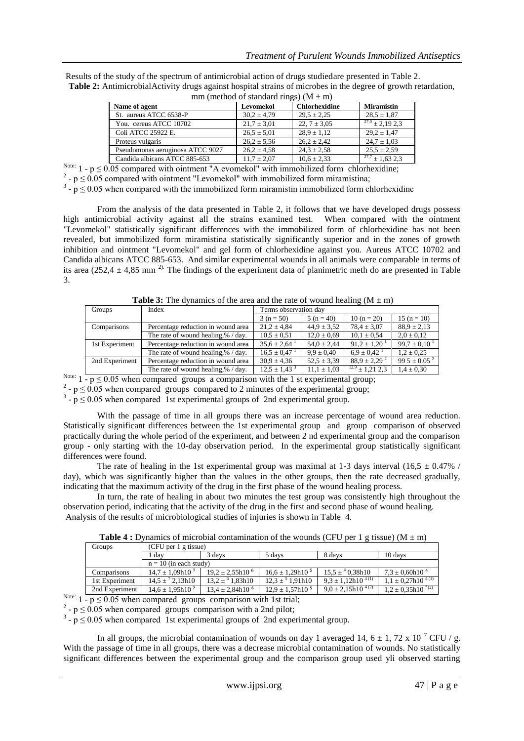| mm (method of standard rings) ( $M \pm m$ ) |                 |                      |                      |  |  |
|---------------------------------------------|-----------------|----------------------|----------------------|--|--|
| Name of agent                               | Levomekol       | <b>Chlorhexidine</b> | <b>Miramistin</b>    |  |  |
| St. aureus ATCC 6538-P                      | $30.2 \pm 4.79$ | $29.5 \pm 2.25$      | $28.5 \pm 1.87$      |  |  |
| You. cereus ATCC 10702                      | $21.7 \pm 3.01$ | 22, $7 \pm 3.05$     | $27.0 \pm 2.1923$    |  |  |
| Coli ATCC 25922 E.                          | $26.5 \pm 5.01$ | $28.9 \pm 1.12$      | $29.2 \pm 1.47$      |  |  |
| Proteus vulgaris                            | $26.2 \pm 5.56$ | $26.2 \pm 2.42$      | $24.7 \pm 1.03$      |  |  |
| Pseudomonas aeruginosa ATCC 9027            | $26.2 \pm 4.58$ | $24.3 \pm 2.58$      | $25.5 \pm 2.59$      |  |  |
| Candida albicans ATCC 885-653               | $11.7 \pm 2.07$ | $10.6 \pm 2.33$      | $^{27,7}$ ± 1,63 2,3 |  |  |

Results of the study of the spectrum of antimicrobial action of drugs studiedare presented in Table 2. **Table 2:** AntimicrobialActivity drugs against hospital strains of microbes in the degree of growth retardation,

Note:  $1 - p \le 0.05$  compared with ointment "A evomekol" with immobilized form chlorhexidine;

<sup>2</sup> -  $p \le 0.05$  compared with ointment "Levomekol" with immobilized form miramistina;

 $3 - p \le 0.05$  when compared with the immobilized form miramistin immobilized form chlorhexidine

From the analysis of the data presented in Table 2, it follows that we have developed drugs possess high antimicrobial activity against all the strains examined test. When compared with the ointment "Levomekol" statistically significant differences with the immobilized form of chlorhexidine has not been revealed, but immobilized form miramistina statistically significantly superior and in the zones of growth inhibition and ointment "Levomekol" and gel form of chlorhexidine against you. Aureus ATCC 10702 and Candida albicans ATCC 885-653. And similar experimental wounds in all animals were comparable in terms of its area (252,4  $\pm$  4,85 mm<sup>2).</sup> The findings of the experiment data of planimetric meth do are presented in Table 3.

**Table 3:** The dynamics of the area and the rate of wound healing  $(M \pm m)$ 

| Groups         | Index                                 | Terms observation day |                 |                              |                              |  |
|----------------|---------------------------------------|-----------------------|-----------------|------------------------------|------------------------------|--|
|                |                                       | $3(n = 50)$           | $5(n = 40)$     | $10(n = 20)$                 | $15(n = 10)$                 |  |
| Comparisons    | Percentage reduction in wound area    | $21.2 \pm 4.84$       | $44.9 \pm 3.52$ | $78.4 \pm 3.07$              | $88.9 \pm 2.13$              |  |
|                | The rate of wound healing, $%$ / day. | $10.5 \pm 0.51$       | $12.0 \pm 0.69$ | $10.1 \pm 0.54$              | $2.0 \pm 0.12$               |  |
| 1st Experiment | Percentage reduction in wound area    | $35.6 \pm 2.64$       | $54.0 \pm 2.44$ | $91.2 \pm 1.20$              | $99.7 \pm 0.10$              |  |
|                | The rate of wound healing, $%$ / day. | $16.5 \pm 0.47$       | $9.9 \pm 0.40$  | $6.9 \pm 0.42$ <sup>1</sup>  | $1.2 \pm 0.25$               |  |
| 2nd Experiment | Percentage reduction in wound area    | $30.9 \pm 4.36$       | $52.5 \pm 3.39$ | $88.9 \pm 2.29$ <sup>2</sup> | 99 5 $\pm$ 0.05 <sup>2</sup> |  |
|                | The rate of wound healing, % / day.   | $12.5 \pm 1.43^3$     | $11.1 \pm 1.03$ | $\frac{12.9}{\pm}$ 1.21 2.3  | $1.4 \pm 0.30$               |  |

Note:  $1 - p \le 0.05$  when compared groups a comparison with the 1 st experimental group;

 $2 - p \le 0.05$  when compared groups compared to 2 minutes of the experimental group;

 $3 - p \le 0.05$  when compared 1st experimental groups of 2nd experimental group.

With the passage of time in all groups there was an increase percentage of wound area reduction. Statistically significant differences between the 1st experimental group and group comparison of observed practically during the whole period of the experiment, and between 2 nd experimental group and the comparison group - only starting with the 10-day observation period. In the experimental group statistically significant differences were found.

The rate of healing in the 1st experimental group was maximal at 1-3 days interval  $(16,5 \pm 0.47\%)$ day), which was significantly higher than the values in the other groups, then the rate decreased gradually, indicating that the maximum activity of the drug in the first phase of the wound healing process.

In turn, the rate of healing in about two minutes the test group was consistently high throughout the observation period, indicating that the activity of the drug in the first and second phase of wound healing. Analysis of the results of microbiological studies of injuries is shown in Table 4.

**Table 4 :** Dynamics of microbial contamination of the wounds (CFU per 1 g tissue) ( $M \pm m$ )

| Groups         | $(CFU$ per 1 g tissue)   |                      |                         |                          |                                    |  |
|----------------|--------------------------|----------------------|-------------------------|--------------------------|------------------------------------|--|
|                | . dav                    | 3 days               | 5 days                  | 8 days                   | 10 days                            |  |
|                | $n = 10$ (in each study) |                      |                         |                          |                                    |  |
| Comparisons    | $14.7 + 1.09h10^{7}$     | $19.2 + 2.55h10^{6}$ | $16.6 \pm 1.29h10^{-5}$ | $15.5 \pm 40.38h10$      | $7.3 \pm 0.60h10^{4}$              |  |
| 1st Experiment | $14.5 \pm 72.13h10$      | $13.2 + 91.83h10$    | $12.3 + 51.91h10$       | $9.3 \pm 1.12h10^{4(1)}$ | $1,1 \pm 0,27h10^{\frac{1}{4(1)}}$ |  |
| 2nd Experiment | $14.6 \pm 1.95h10^7$     | $13.4 \pm 2.84h10^6$ | $12.9 \pm 1.57h10^{5}$  | $9.0 \pm 2.15h10^{4(2)}$ | $1,2 \pm 0,35h10^{(2)}$            |  |

Note:  $1 - p \le 0.05$  when compared groups comparison with 1st trial;

 $2 - p \le 0.05$  when compared groups comparison with a 2nd pilot;

 $3 - p \le 0.05$  when compared 1st experimental groups of 2nd experimental group.

In all groups, the microbial contamination of wounds on day 1 averaged 14,  $6 \pm 1$ , 72 x 10<sup>7</sup> CFU / g. With the passage of time in all groups, there was a decrease microbial contamination of wounds. No statistically significant differences between the experimental group and the comparison group used yli observed starting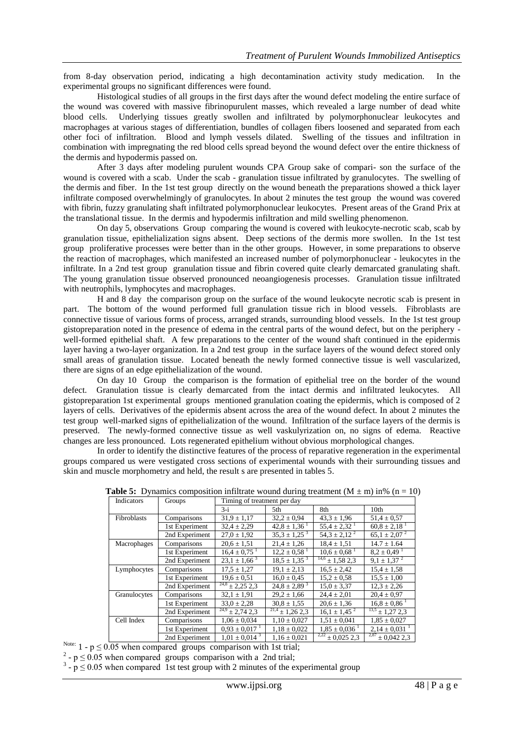from 8-day observation period, indicating a high decontamination activity study medication. In the experimental groups no significant differences were found.

Histological studies of all groups in the first days after the wound defect modeling the entire surface of the wound was covered with massive fibrinopurulent masses, which revealed a large number of dead white blood cells. Underlying tissues greatly swollen and infiltrated by polymorphonuclear leukocytes and macrophages at various stages of differentiation, bundles of collagen fibers loosened and separated from each other foci of infiltration. Blood and lymph vessels dilated. Swelling of the tissues and infiltration in combination with impregnating the red blood cells spread beyond the wound defect over the entire thickness of the dermis and hypodermis passed on.

After 3 days after modeling purulent wounds CPA Group sake of compari- son the surface of the wound is covered with a scab. Under the scab - granulation tissue infiltrated by granulocytes. The swelling of the dermis and fiber. In the 1st test group directly on the wound beneath the preparations showed a thick layer infiltrate composed overwhelmingly of granulocytes. In about 2 minutes the test group the wound was covered with fibrin, fuzzy granulating shaft infiltrated polymorphonuclear leukocytes. Present areas of the Grand Prix at the translational tissue. In the dermis and hypodermis infiltration and mild swelling phenomenon.

On day 5, observations Group comparing the wound is covered with leukocyte-necrotic scab, scab by granulation tissue, epithelialization signs absent. Deep sections of the dermis more swollen. In the 1st test group proliferative processes were better than in the other groups. However, in some preparations to observe the reaction of macrophages, which manifested an increased number of polymorphonuclear - leukocytes in the infiltrate. In a 2nd test group granulation tissue and fibrin covered quite clearly demarcated granulating shaft. The young granulation tissue observed pronounced neoangiogenesis processes. Granulation tissue infiltrated with neutrophils, lymphocytes and macrophages.

H and 8 day the comparison group on the surface of the wound leukocyte necrotic scab is present in part. The bottom of the wound performed full granulation tissue rich in blood vessels. Fibroblasts are connective tissue of various forms of process, arranged strands, surrounding blood vessels. In the 1st test group gistopreparation noted in the presence of edema in the central parts of the wound defect, but on the periphery well-formed epithelial shaft. A few preparations to the center of the wound shaft continued in the epidermis layer having a two-layer organization. In a 2nd test group in the surface layers of the wound defect stored only small areas of granulation tissue. Located beneath the newly formed connective tissue is well vascularized, there are signs of an edge epithelialization of the wound.

On day 10 Group the comparison is the formation of epithelial tree on the border of the wound defect. Granulation tissue is clearly demarcated from the intact dermis and infiltrated leukocytes. All gistopreparation 1st experimental groups mentioned granulation coating the epidermis, which is composed of 2 layers of cells. Derivatives of the epidermis absent across the area of the wound defect. In about 2 minutes the test group well-marked signs of epithelialization of the wound. Infiltration of the surface layers of the dermis is preserved. The newly-formed connective tissue as well vaskulyrization on, no signs of edema. Reactive changes are less pronounced. Lots regenerated epithelium without obvious morphological changes.

In order to identify the distinctive features of the process of reparative regeneration in the experimental groups compared us were vestigated cross sections of experimental wounds with their surrounding tissues and skin and muscle morphometry and held, the result s are presented in tables 5.

| Indicators   | Groups         | Timing of treatment per day    |                                |                              |                              |
|--------------|----------------|--------------------------------|--------------------------------|------------------------------|------------------------------|
|              |                | $3-i$                          | 5th                            | 8th                          | 10 <sub>th</sub>             |
| Fibroblasts  | Comparisons    | $31.9 \pm 1.17$                | $32.2 \pm 0.94$                | $43.3 \pm 1.96$              | $51.4 \pm 0.57$              |
|              | 1st Experiment | $32.4 \pm 2.29$                | $42.8 \pm 1.36$ <sup>1</sup>   | $55.4 \pm 2.32$ <sup>1</sup> | $60.8 \pm 2.18$ <sup>1</sup> |
|              | 2nd Experiment | $27.0 \pm 1.92$                | $35,3 \pm 1,25^{3}$            | $54.3 \pm 2.12^2$            | $65,1 \pm 2,07$ <sup>2</sup> |
| Macrophages  | Comparisons    | $20.6 \pm 1.51$                | $21.4 \pm 1.26$                | $18.4 \pm 1.51$              | $14.7 \pm 1.64$              |
|              | 1st Experiment | $16.4 \pm 0.75$ <sup>1</sup>   | $12.2 \pm 0.58$ <sup>1</sup>   | $10.6 \pm 0.68$              | $8.2 \pm 0.49$ <sup>1</sup>  |
|              | 2nd Experiment | $23.1 \pm 1.66^{3}$            | $18.5 \pm 1.35^{3}$            | $\frac{14,6}{2}$ ± 1,58 2,3  | $9,1 \pm \overline{1,37}^2$  |
| Lymphocytes  | Comparisons    | $17.5 \pm 1.27$                | $19.1 \pm 2.13$                | $16.5 \pm 2.42$              | $15.4 \pm 1.58$              |
|              | 1st Experiment | $19.6 \pm 0.51$                | $16.0 \pm 0.45$                | $15.2 \pm 0.58$              | $15.5 \pm 1.00$              |
|              | 2nd Experiment | $\frac{24,8}{2}\pm 2,25$ 2,3   | $24.8 \pm 2.89$ <sup>3</sup>   | $15.0 \pm 3.37$              | $12.3 \pm 2.26$              |
| Granulocytes | Comparisons    | $32.1 \pm 1.91$                | $29.2 \pm 1.66$                | $24.4 \pm 2.01$              | $20.4 \pm 0.97$              |
|              | 1st Experiment | $33.0 \pm 2.28$                | $30.8 \pm 1.55$                | $20.6 \pm 1.36$              | $16.8 \pm 0.86$ <sup>1</sup> |
|              | 2nd Experiment | $\frac{24.9}{24.9}$ ± 2,74 2,3 | $\frac{21.4}{21.4}$ ± 1,26 2,3 | $16.1 \pm 1.45$ <sup>2</sup> | $\frac{13.5}{13.21}$ 2.3     |
| Cell Index   | Comparisons    | $1.06 \pm 0.034$               | $1,10 \pm 0,027$               | $1.51 \pm 0.041$             | $1,85 \pm 0,027$             |
|              | 1st Experiment | $0.93 \pm 0.017$               | $1,18 \pm 0,022$               | $1,85 \pm 0,036$             | $2,14 \pm 0,031$             |
|              | 2nd Experiment | $1,01 \pm 0,014$ <sup>3</sup>  | $1,16 \pm 0.021$               | $\frac{2,22}{2}$ ± 0,025 2,3 | $\frac{2,87}{1}$ ± 0,042 2,3 |

**Table 5:** Dynamics composition infiltrate wound during treatment  $(M \pm m)$  in%  $(n = 10)$ 

Note:  $1 - p \le 0.05$  when compared groups comparison with 1st trial;

<sup>2</sup> -  $p \le 0.05$  when compared groups comparison with a 2nd trial;

 $3 - p \le 0.05$  when compared 1st test group with 2 minutes of the experimental group